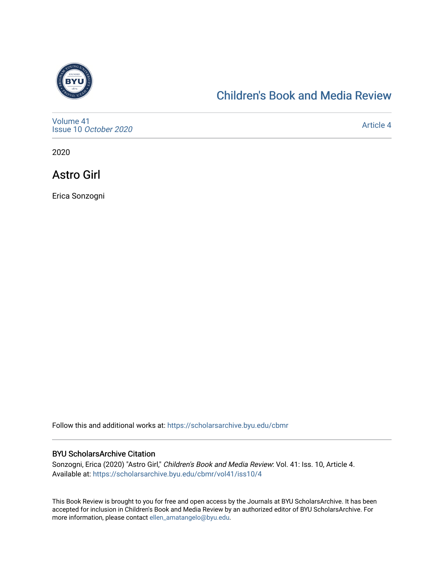

### [Children's Book and Media Review](https://scholarsarchive.byu.edu/cbmr)

[Volume 41](https://scholarsarchive.byu.edu/cbmr/vol41) Issue 10 [October 2020](https://scholarsarchive.byu.edu/cbmr/vol41/iss10)

[Article 4](https://scholarsarchive.byu.edu/cbmr/vol41/iss10/4) 

2020

Astro Girl

Erica Sonzogni

Follow this and additional works at: [https://scholarsarchive.byu.edu/cbmr](https://scholarsarchive.byu.edu/cbmr?utm_source=scholarsarchive.byu.edu%2Fcbmr%2Fvol41%2Fiss10%2F4&utm_medium=PDF&utm_campaign=PDFCoverPages) 

#### BYU ScholarsArchive Citation

Sonzogni, Erica (2020) "Astro Girl," Children's Book and Media Review: Vol. 41: Iss. 10, Article 4. Available at: [https://scholarsarchive.byu.edu/cbmr/vol41/iss10/4](https://scholarsarchive.byu.edu/cbmr/vol41/iss10/4?utm_source=scholarsarchive.byu.edu%2Fcbmr%2Fvol41%2Fiss10%2F4&utm_medium=PDF&utm_campaign=PDFCoverPages)

This Book Review is brought to you for free and open access by the Journals at BYU ScholarsArchive. It has been accepted for inclusion in Children's Book and Media Review by an authorized editor of BYU ScholarsArchive. For more information, please contact [ellen\\_amatangelo@byu.edu.](mailto:ellen_amatangelo@byu.edu)